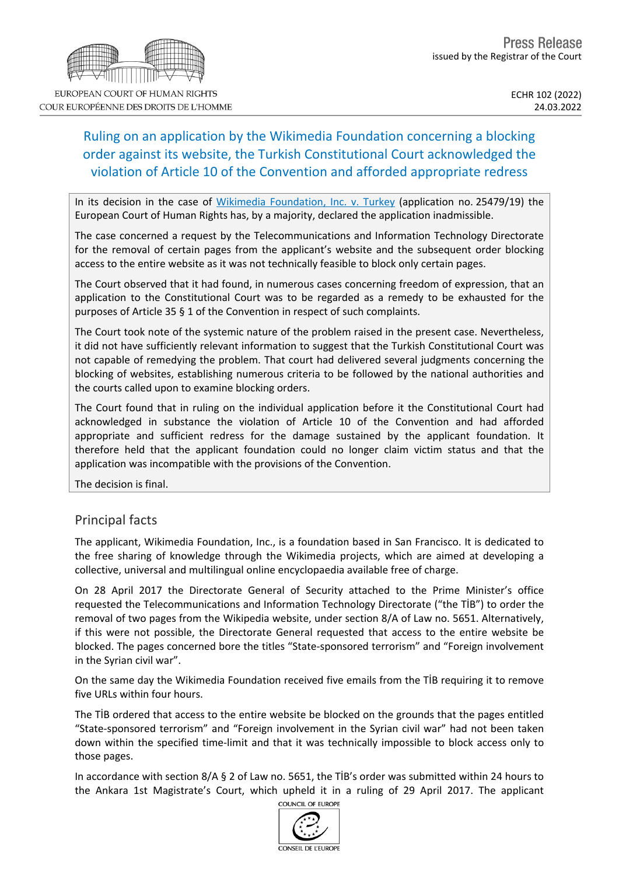# Ruling on an application by the Wikimedia Foundation concerning a blocking order against its website, the Turkish Constitutional Court acknowledged the violation of Article 10 of the Convention and afforded appropriate redress

In its decision in the case of Wikimedia [Foundation,](https://hudoc.echr.coe.int/eng?i=001-216677) Inc. v. Turkey (application no. 25479/19) the European Court of Human Rights has, by a majority, declared the application inadmissible.

The case concerned a request by the Telecommunications and Information Technology Directorate for the removal of certain pages from the applicant's website and the subsequent order blocking access to the entire website as it was not technically feasible to block only certain pages.

The Court observed that it had found, in numerous cases concerning freedom of expression, that an application to the Constitutional Court was to be regarded as a remedy to be exhausted for the purposes of Article 35 § 1 of the Convention in respect of such complaints.

The Court took note of the systemic nature of the problem raised in the present case. Nevertheless, it did not have sufficiently relevant information to suggest that the Turkish Constitutional Court was not capable of remedying the problem. That court had delivered several judgments concerning the blocking of websites, establishing numerous criteria to be followed by the national authorities and the courts called upon to examine blocking orders.

The Court found that in ruling on the individual application before it the Constitutional Court had acknowledged in substance the violation of Article 10 of the Convention and had afforded appropriate and sufficient redress for the damage sustained by the applicant foundation. It therefore held that the applicant foundation could no longer claim victim status and that the application was incompatible with the provisions of the Convention.

The decision is final.

## Principal facts

The applicant, Wikimedia Foundation, Inc., is a foundation based in San Francisco. It is dedicated to the free sharing of knowledge through the Wikimedia projects, which are aimed at developing a collective, universal and multilingual online encyclopaedia available free of charge.

On 28 April 2017 the Directorate General of Security attached to the Prime Minister's office requested the Telecommunications and Information Technology Directorate ("the TİB") to order the removal of two pages from the Wikipedia website, under section 8/A of Law no. 5651. Alternatively, if this were not possible, the Directorate General requested that access to the entire website be blocked. The pages concerned bore the titles "State-sponsored terrorism" and "Foreign involvement in the Syrian civil war".

On the same day the Wikimedia Foundation received five emails from the TİB requiring it to remove five URLs within four hours.

The TİB ordered that access to the entire website be blocked on the grounds that the pages entitled "State-sponsored terrorism" and "Foreign involvement in the Syrian civil war" had not been taken down within the specified time-limit and that it was technically impossible to block access only to those pages.

In accordance with section 8/A § 2 of Law no. 5651, the TİB's order was submitted within 24 hours to the Ankara 1st Magistrate's Court, which upheld it in a ruling of 29 April 2017. The applicant





EUROPEAN COURT OF HUMAN RIGHTS COUR EUROPÉENNE DES DROITS DE L'HOMME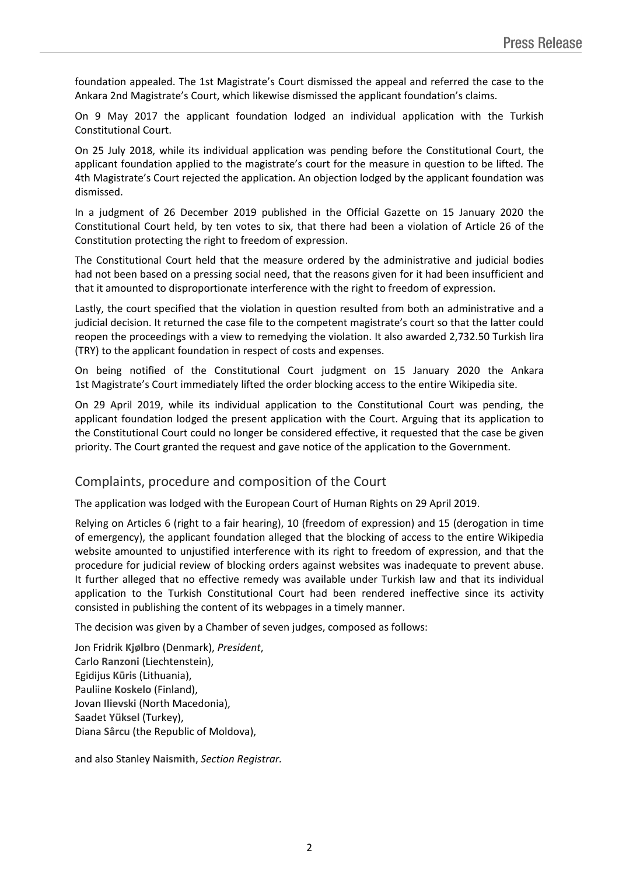foundation appealed. The 1st Magistrate's Court dismissed the appeal and referred the case to the Ankara 2nd Magistrate's Court, which likewise dismissed the applicant foundation's claims.

On 9 May 2017 the applicant foundation lodged an individual application with the Turkish Constitutional Court.

On 25 July 2018, while its individual application was pending before the Constitutional Court, the applicant foundation applied to the magistrate's court for the measure in question to be lifted. The 4th Magistrate's Court rejected the application. An objection lodged by the applicant foundation was dismissed.

In a judgment of 26 December 2019 published in the Official Gazette on 15 January 2020 the Constitutional Court held, by ten votes to six, that there had been a violation of Article 26 of the Constitution protecting the right to freedom of expression.

The Constitutional Court held that the measure ordered by the administrative and judicial bodies had not been based on a pressing social need, that the reasons given for it had been insufficient and that it amounted to disproportionate interference with the right to freedom of expression.

Lastly, the court specified that the violation in question resulted from both an administrative and a judicial decision. It returned the case file to the competent magistrate's court so that the latter could reopen the proceedings with a view to remedying the violation. It also awarded 2,732.50 Turkish lira (TRY) to the applicant foundation in respect of costs and expenses.

On being notified of the Constitutional Court judgment on 15 January 2020 the Ankara 1st Magistrate's Court immediately lifted the order blocking access to the entire Wikipedia site.

On 29 April 2019, while its individual application to the Constitutional Court was pending, the applicant foundation lodged the present application with the Court. Arguing that its application to the Constitutional Court could no longer be considered effective, it requested that the case be given priority. The Court granted the request and gave notice of the application to the Government.

#### Complaints, procedure and composition of the Court

The application was lodged with the European Court of Human Rights on 29 April 2019.

Relying on Articles 6 (right to a fair hearing), 10 (freedom of expression) and 15 (derogation in time of emergency), the applicant foundation alleged that the blocking of access to the entire Wikipedia website amounted to unjustified interference with its right to freedom of expression, and that the procedure for judicial review of blocking orders against websites was inadequate to prevent abuse. It further alleged that no effective remedy was available under Turkish law and that its individual application to the Turkish Constitutional Court had been rendered ineffective since its activity consisted in publishing the content of its webpages in a timely manner.

The decision was given by a Chamber of seven judges, composed as follows:

Jon Fridrik **Kjølbro** (Denmark), *President*, Carlo **Ranzoni** (Liechtenstein), Egidijus **Kūris** (Lithuania), Pauliine **Koskelo** (Finland), Jovan **Ilievski** (North Macedonia), Saadet **Yüksel** (Turkey), Diana **Sârcu** (the Republic of Moldova),

and also Stanley **Naismith**, *Section Registrar.*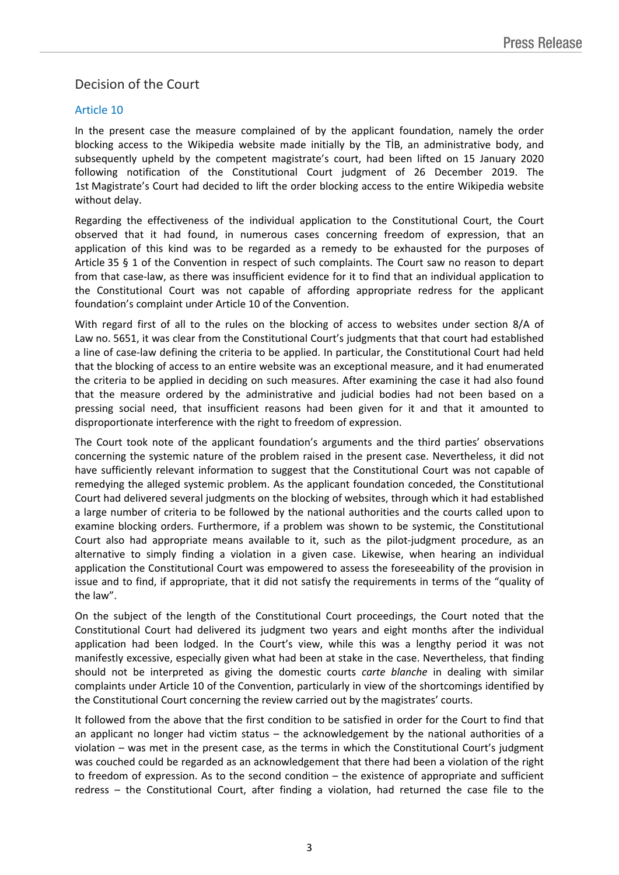## Decision of the Court

#### Article 10

In the present case the measure complained of by the applicant foundation, namely the order blocking access to the Wikipedia website made initially by the TİB, an administrative body, and subsequently upheld by the competent magistrate's court, had been lifted on 15 January 2020 following notification of the Constitutional Court judgment of 26 December 2019. The 1st Magistrate's Court had decided to lift the order blocking access to the entire Wikipedia website without delay.

Regarding the effectiveness of the individual application to the Constitutional Court, the Court observed that it had found, in numerous cases concerning freedom of expression, that an application of this kind was to be regarded as a remedy to be exhausted for the purposes of Article 35 § 1 of the Convention in respect of such complaints. The Court saw no reason to depart from that case-law, as there was insufficient evidence for it to find that an individual application to the Constitutional Court was not capable of affording appropriate redress for the applicant foundation's complaint under Article 10 of the Convention.

With regard first of all to the rules on the blocking of access to websites under section 8/A of Law no. 5651, it was clear from the Constitutional Court's judgments that that court had established a line of case-law defining the criteria to be applied. In particular, the Constitutional Court had held that the blocking of access to an entire website was an exceptional measure, and it had enumerated the criteria to be applied in deciding on such measures. After examining the case it had also found that the measure ordered by the administrative and judicial bodies had not been based on a pressing social need, that insufficient reasons had been given for it and that it amounted to disproportionate interference with the right to freedom of expression.

The Court took note of the applicant foundation's arguments and the third parties' observations concerning the systemic nature of the problem raised in the present case. Nevertheless, it did not have sufficiently relevant information to suggest that the Constitutional Court was not capable of remedying the alleged systemic problem. As the applicant foundation conceded, the Constitutional Court had delivered several judgments on the blocking of websites, through which it had established a large number of criteria to be followed by the national authorities and the courts called upon to examine blocking orders. Furthermore, if a problem was shown to be systemic, the Constitutional Court also had appropriate means available to it, such as the pilot-judgment procedure, as an alternative to simply finding a violation in a given case. Likewise, when hearing an individual application the Constitutional Court was empowered to assess the foreseeability of the provision in issue and to find, if appropriate, that it did not satisfy the requirements in terms of the "quality of the law".

On the subject of the length of the Constitutional Court proceedings, the Court noted that the Constitutional Court had delivered its judgment two years and eight months after the individual application had been lodged. In the Court's view, while this was a lengthy period it was not manifestly excessive, especially given what had been at stake in the case. Nevertheless, that finding should not be interpreted as giving the domestic courts *carte blanche* in dealing with similar complaints under Article 10 of the Convention, particularly in view of the shortcomings identified by the Constitutional Court concerning the review carried out by the magistrates' courts.

It followed from the above that the first condition to be satisfied in order for the Court to find that an applicant no longer had victim status – the acknowledgement by the national authorities of a violation – was met in the present case, as the terms in which the Constitutional Court's judgment was couched could be regarded as an acknowledgement that there had been a violation of the right to freedom of expression. As to the second condition – the existence of appropriate and sufficient redress – the Constitutional Court, after finding a violation, had returned the case file to the